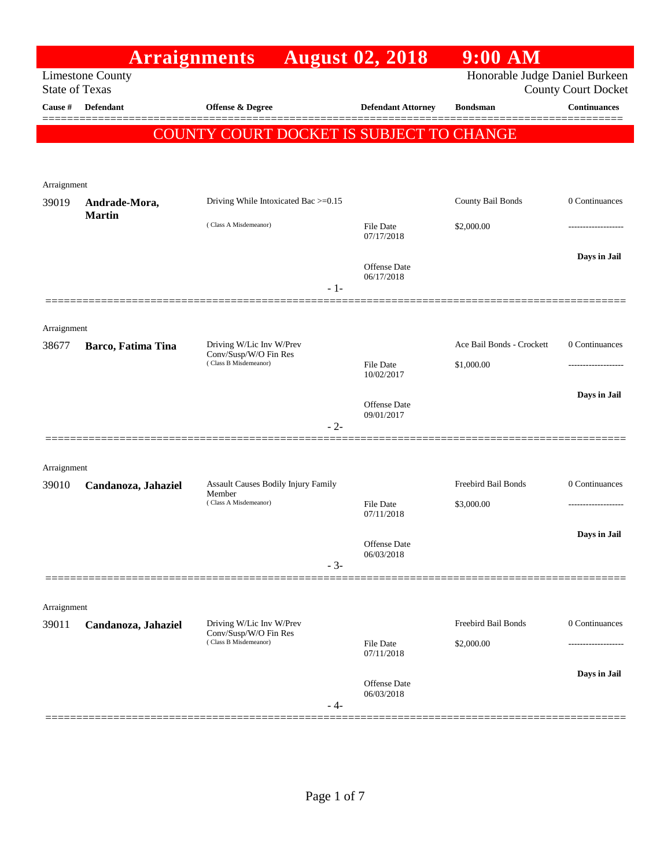|                       | <b>Arraignments</b>            |                                                                            | <b>August 02, 2018</b>         | $9:00$ AM                         |                                            |
|-----------------------|--------------------------------|----------------------------------------------------------------------------|--------------------------------|-----------------------------------|--------------------------------------------|
| <b>State of Texas</b> | <b>Limestone County</b>        |                                                                            |                                | Honorable Judge Daniel Burkeen    | <b>County Court Docket</b>                 |
| Cause #               | Defendant                      | <b>Offense &amp; Degree</b>                                                | <b>Defendant Attorney</b>      | <b>Bondsman</b>                   | <b>Continuances</b><br>$=$ $=$ $=$ $=$ $=$ |
|                       |                                | COUNTY COURT DOCKET IS SUBJECT TO CHANGE                                   |                                |                                   |                                            |
|                       |                                |                                                                            |                                |                                   |                                            |
| Arraignment           |                                |                                                                            |                                |                                   |                                            |
| 39019                 | Andrade-Mora,<br><b>Martin</b> | Driving While Intoxicated Bac >=0.15                                       |                                | County Bail Bonds                 | 0 Continuances                             |
|                       |                                | (Class A Misdemeanor)                                                      | File Date<br>07/17/2018        | \$2,000.00                        |                                            |
|                       |                                |                                                                            | Offense Date                   |                                   | Days in Jail                               |
|                       |                                | $-1-$                                                                      | 06/17/2018                     |                                   |                                            |
|                       |                                |                                                                            |                                |                                   |                                            |
| Arraignment<br>38677  | Barco, Fatima Tina             | Driving W/Lic Inv W/Prev                                                   |                                | Ace Bail Bonds - Crockett         | 0 Continuances                             |
|                       |                                | Conv/Susp/W/O Fin Res<br>(Class B Misdemeanor)                             | <b>File Date</b><br>10/02/2017 | \$1,000.00                        |                                            |
|                       |                                |                                                                            | Offense Date                   |                                   | Days in Jail                               |
|                       |                                | $-2-$                                                                      | 09/01/2017                     |                                   |                                            |
| Arraignment           |                                |                                                                            |                                |                                   |                                            |
| 39010                 | Candanoza, Jahaziel            | Assault Causes Bodily Injury Family<br>Member                              |                                | Freebird Bail Bonds               | 0 Continuances                             |
|                       |                                | (Class A Misdemeanor)                                                      | <b>File Date</b><br>07/11/2018 | \$3,000.00                        | .                                          |
|                       |                                |                                                                            | Offense Date                   |                                   | Days in Jail                               |
|                       |                                | $-3-$                                                                      | 06/03/2018                     |                                   |                                            |
|                       |                                |                                                                            |                                |                                   |                                            |
| Arraignment           |                                |                                                                            |                                |                                   |                                            |
| 39011                 | Candanoza, Jahaziel            | Driving W/Lic Inv W/Prev<br>Conv/Susp/W/O Fin Res<br>(Class B Misdemeanor) | File Date                      | Freebird Bail Bonds<br>\$2,000.00 | 0 Continuances<br>.                        |
|                       |                                |                                                                            | 07/11/2018                     |                                   |                                            |
|                       |                                |                                                                            | Offense Date<br>06/03/2018     |                                   | Days in Jail                               |
|                       |                                | - 4-                                                                       |                                |                                   |                                            |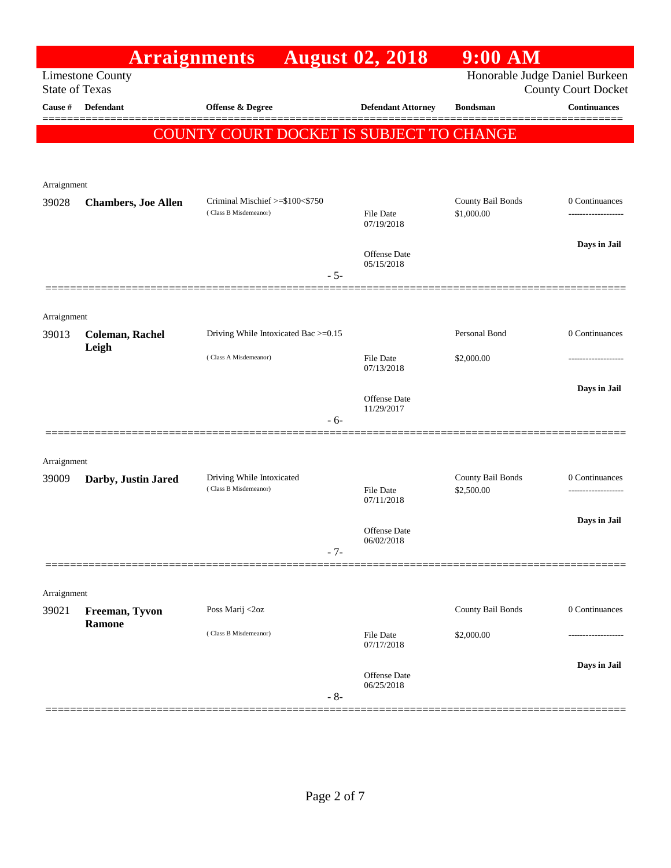|                       | <b>Arraignments</b>             |                                                          | <b>August 02, 2018</b>            | $9:00$ AM                       |                                     |
|-----------------------|---------------------------------|----------------------------------------------------------|-----------------------------------|---------------------------------|-------------------------------------|
| <b>State of Texas</b> | <b>Limestone County</b>         |                                                          |                                   | Honorable Judge Daniel Burkeen  | <b>County Court Docket</b>          |
| Cause #               | <b>Defendant</b>                | Offense & Degree                                         | <b>Defendant Attorney</b>         | <b>Bondsman</b>                 | <b>Continuances</b>                 |
|                       |                                 | COUNTY COURT DOCKET IS SUBJECT TO CHANGE                 |                                   |                                 |                                     |
|                       |                                 |                                                          |                                   |                                 |                                     |
| Arraignment           |                                 |                                                          |                                   |                                 |                                     |
| 39028                 | <b>Chambers, Joe Allen</b>      | Criminal Mischief >=\$100<\$750<br>(Class B Misdemeanor) | <b>File Date</b>                  | County Bail Bonds<br>\$1,000.00 | 0 Continuances<br>----------------- |
|                       |                                 |                                                          | 07/19/2018                        |                                 |                                     |
|                       |                                 |                                                          | Offense Date                      |                                 | Days in Jail                        |
|                       |                                 | $-5-$                                                    | 05/15/2018                        |                                 |                                     |
|                       |                                 |                                                          |                                   |                                 |                                     |
| Arraignment<br>39013  | <b>Coleman, Rachel</b>          | Driving While Intoxicated Bac >=0.15                     |                                   | Personal Bond                   | 0 Continuances                      |
|                       | Leigh                           | (Class A Misdemeanor)                                    | <b>File Date</b>                  | \$2,000.00                      |                                     |
|                       |                                 |                                                          | 07/13/2018                        |                                 |                                     |
|                       |                                 |                                                          | Offense Date                      |                                 | Days in Jail                        |
|                       |                                 | $-6-$                                                    | 11/29/2017                        |                                 |                                     |
|                       |                                 |                                                          |                                   |                                 |                                     |
| Arraignment<br>39009  | Darby, Justin Jared             | Driving While Intoxicated                                |                                   | County Bail Bonds               | 0 Continuances                      |
|                       |                                 | (Class B Misdemeanor)                                    | <b>File Date</b><br>07/11/2018    | \$2,500.00                      |                                     |
|                       |                                 |                                                          |                                   |                                 | Days in Jail                        |
|                       |                                 | $-7-$                                                    | <b>Offense Date</b><br>06/02/2018 |                                 |                                     |
|                       |                                 |                                                          |                                   |                                 |                                     |
| Arraignment           |                                 |                                                          |                                   |                                 |                                     |
| 39021                 | Freeman, Tyvon<br><b>Ramone</b> | Poss Marij <2oz                                          |                                   | County Bail Bonds               | 0 Continuances                      |
|                       |                                 | (Class B Misdemeanor)                                    | File Date<br>07/17/2018           | \$2,000.00                      |                                     |
|                       |                                 |                                                          |                                   |                                 | Days in Jail                        |
|                       |                                 | $-8-$                                                    | <b>Offense</b> Date<br>06/25/2018 |                                 |                                     |
|                       |                                 |                                                          |                                   |                                 |                                     |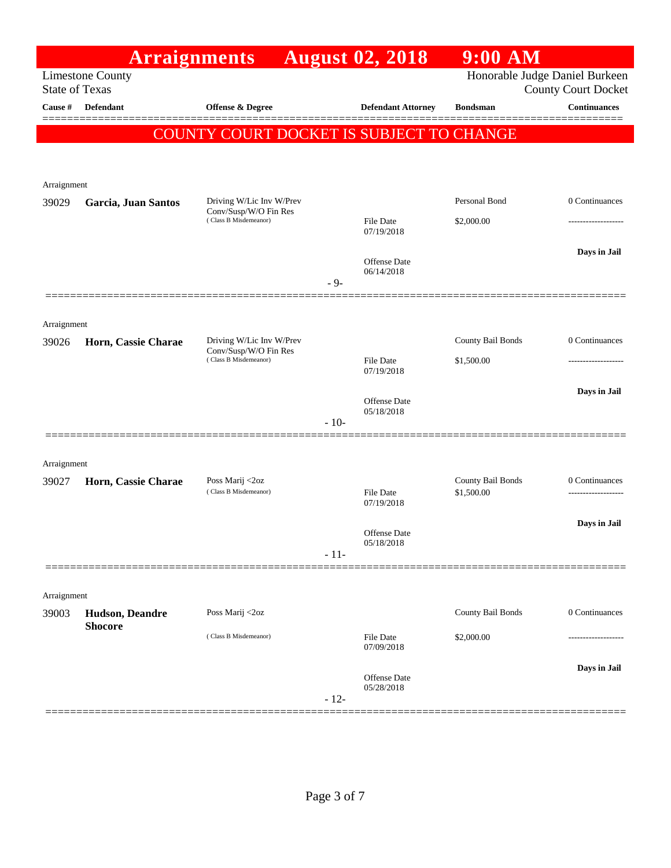|             | <b>Arraignments</b>                              |                                                   |        | <b>August 02, 2018</b>            | $9:00$ AM                       |                                                              |
|-------------|--------------------------------------------------|---------------------------------------------------|--------|-----------------------------------|---------------------------------|--------------------------------------------------------------|
|             | <b>Limestone County</b><br><b>State of Texas</b> |                                                   |        |                                   |                                 | Honorable Judge Daniel Burkeen<br><b>County Court Docket</b> |
| Cause #     | Defendant                                        | <b>Offense &amp; Degree</b>                       |        | <b>Defendant Attorney</b>         | <b>Bondsman</b>                 | <b>Continuances</b>                                          |
|             |                                                  | COUNTY COURT DOCKET IS SUBJECT TO CHANGE          |        |                                   |                                 |                                                              |
|             |                                                  |                                                   |        |                                   |                                 |                                                              |
| Arraignment |                                                  |                                                   |        |                                   |                                 |                                                              |
| 39029       | Garcia, Juan Santos                              | Driving W/Lic Inv W/Prev<br>Conv/Susp/W/O Fin Res |        |                                   | Personal Bond                   | 0 Continuances                                               |
|             |                                                  | (Class B Misdemeanor)                             |        | File Date<br>07/19/2018           | \$2,000.00                      | ----------------                                             |
|             |                                                  |                                                   |        |                                   |                                 | Days in Jail                                                 |
|             |                                                  |                                                   | $-9-$  | <b>Offense</b> Date<br>06/14/2018 |                                 |                                                              |
|             |                                                  |                                                   |        |                                   |                                 |                                                              |
| Arraignment |                                                  |                                                   |        |                                   |                                 |                                                              |
| 39026       | Horn, Cassie Charae                              | Driving W/Lic Inv W/Prev<br>Conv/Susp/W/O Fin Res |        |                                   | County Bail Bonds               | 0 Continuances                                               |
|             |                                                  | (Class B Misdemeanor)                             |        | File Date<br>07/19/2018           | \$1,500.00                      | -------------------                                          |
|             |                                                  |                                                   |        | <b>Offense</b> Date               |                                 | Days in Jail                                                 |
|             |                                                  |                                                   | $-10-$ | 05/18/2018                        |                                 |                                                              |
|             |                                                  |                                                   |        |                                   |                                 |                                                              |
| Arraignment |                                                  |                                                   |        |                                   |                                 |                                                              |
| 39027       | Horn, Cassie Charae                              | Poss Marij <2oz<br>(Class B Misdemeanor)          |        | <b>File Date</b>                  | County Bail Bonds<br>\$1,500.00 | 0 Continuances<br>-------------------                        |
|             |                                                  |                                                   |        | 07/19/2018                        |                                 |                                                              |
|             |                                                  |                                                   |        | <b>Offense</b> Date               |                                 | Days in Jail                                                 |
|             |                                                  |                                                   | $-11-$ | 05/18/2018                        |                                 |                                                              |
|             |                                                  |                                                   |        |                                   |                                 |                                                              |
| Arraignment |                                                  |                                                   |        |                                   |                                 |                                                              |
| 39003       | <b>Hudson</b> , Deandre<br><b>Shocore</b>        | Poss Marij <2oz                                   |        |                                   | County Bail Bonds               | 0 Continuances                                               |
|             |                                                  | (Class B Misdemeanor)                             |        | <b>File Date</b><br>07/09/2018    | \$2,000.00                      |                                                              |
|             |                                                  |                                                   |        |                                   |                                 | Days in Jail                                                 |
|             |                                                  |                                                   |        | <b>Offense</b> Date<br>05/28/2018 |                                 |                                                              |
|             |                                                  |                                                   | $-12-$ |                                   |                                 |                                                              |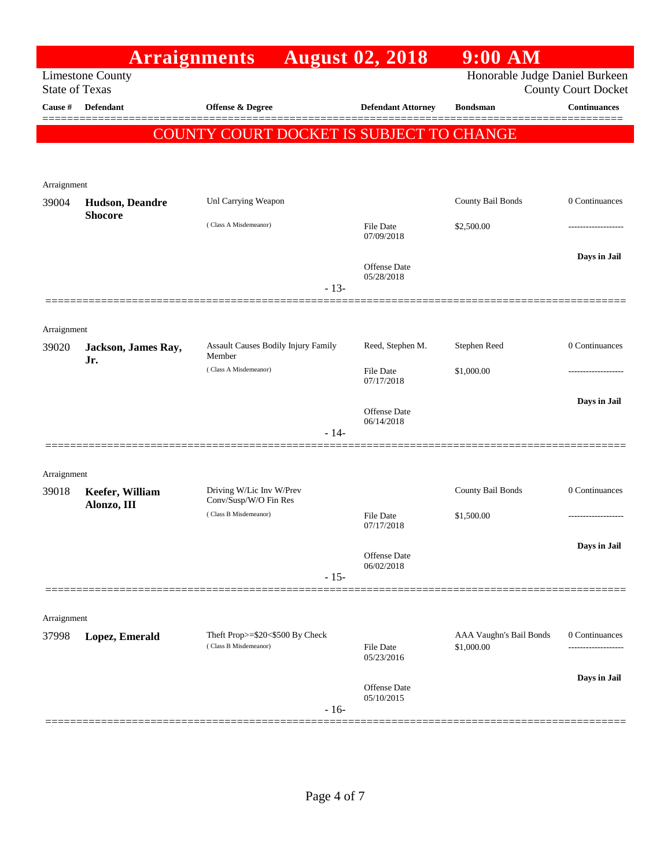|                       | <b>Arraignments</b>            |                                               | <b>August 02, 2018</b>            | $9:00$ AM                  |                     |
|-----------------------|--------------------------------|-----------------------------------------------|-----------------------------------|----------------------------|---------------------|
| <b>State of Texas</b> | <b>Limestone County</b>        |                                               | Honorable Judge Daniel Burkeen    | <b>County Court Docket</b> |                     |
| Cause #               | <b>Defendant</b>               | Offense & Degree                              | <b>Defendant Attorney</b>         | <b>Bondsman</b>            | <b>Continuances</b> |
|                       |                                | COUNTY COURT DOCKET IS SUBJECT TO CHANGE      |                                   |                            | =====               |
|                       |                                |                                               |                                   |                            |                     |
| Arraignment           |                                |                                               |                                   |                            |                     |
| 39004                 | Hudson, Deandre                | Unl Carrying Weapon                           |                                   | County Bail Bonds          | 0 Continuances      |
|                       | <b>Shocore</b>                 | (Class A Misdemeanor)                         | <b>File Date</b>                  | \$2,500.00                 |                     |
|                       |                                |                                               | 07/09/2018                        |                            |                     |
|                       |                                |                                               | <b>Offense Date</b>               |                            | Days in Jail        |
|                       |                                | $-13-$                                        | 05/28/2018                        |                            |                     |
|                       |                                |                                               |                                   |                            |                     |
| Arraignment           |                                |                                               |                                   |                            |                     |
| 39020                 | Jackson, James Ray,            | Assault Causes Bodily Injury Family<br>Member | Reed, Stephen M.                  | Stephen Reed               | 0 Continuances      |
|                       | Jr.                            | (Class A Misdemeanor)                         | <b>File Date</b>                  | \$1,000.00                 |                     |
|                       |                                |                                               | 07/17/2018                        |                            | Days in Jail        |
|                       |                                |                                               | Offense Date<br>06/14/2018        |                            |                     |
|                       |                                | $-14-$                                        |                                   |                            |                     |
|                       |                                |                                               |                                   |                            |                     |
| Arraignment           |                                | Driving W/Lic Inv W/Prev                      |                                   | County Bail Bonds          | 0 Continuances      |
| 39018                 | Keefer, William<br>Alonzo, III | Conv/Susp/W/O Fin Res                         |                                   |                            |                     |
|                       |                                | (Class B Misdemeanor)                         | <b>File Date</b><br>07/17/2018    | \$1,500.00                 |                     |
|                       |                                |                                               | <b>Offense</b> Date               |                            | Days in Jail        |
|                       |                                | $-15-$                                        | 06/02/2018                        |                            |                     |
|                       |                                |                                               |                                   |                            |                     |
| Arraignment           |                                |                                               |                                   |                            |                     |
| 37998                 | Lopez, Emerald                 | Theft Prop>=\$20<\$500 By Check               |                                   | AAA Vaughn's Bail Bonds    | 0 Continuances      |
|                       |                                | (Class B Misdemeanor)                         | File Date<br>05/23/2016           | \$1,000.00                 |                     |
|                       |                                |                                               |                                   |                            | Days in Jail        |
|                       |                                |                                               | <b>Offense Date</b><br>05/10/2015 |                            |                     |
|                       |                                | $-16-$                                        |                                   |                            |                     |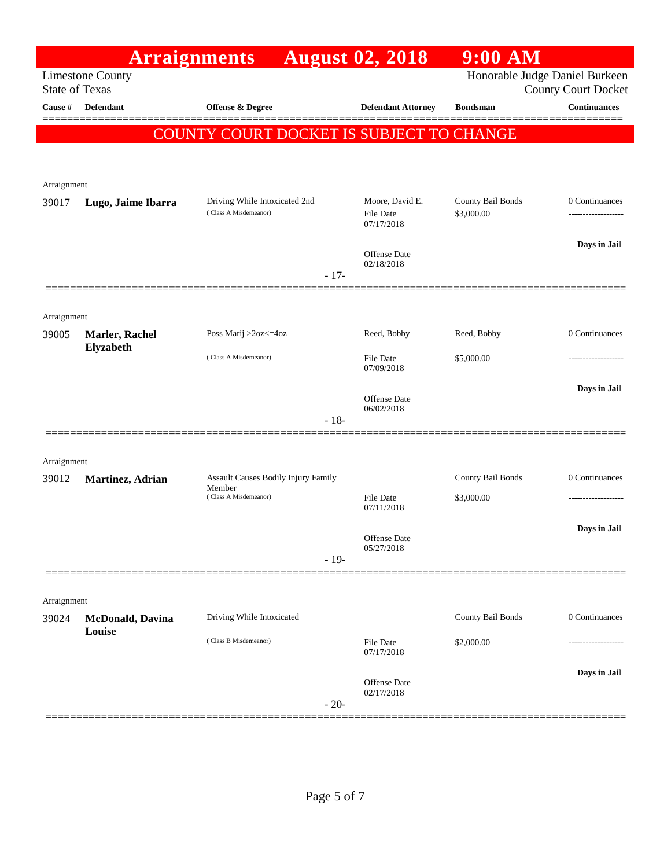|                       |                                    | <b>Arraignments</b>                      | <b>August 02, 2018</b>               | $9:00$ AM         |                                                              |
|-----------------------|------------------------------------|------------------------------------------|--------------------------------------|-------------------|--------------------------------------------------------------|
| <b>State of Texas</b> | <b>Limestone County</b>            |                                          |                                      |                   | Honorable Judge Daniel Burkeen<br><b>County Court Docket</b> |
| Cause #               | Defendant                          | Offense & Degree                         | <b>Defendant Attorney</b>            | <b>Bondsman</b>   | <b>Continuances</b>                                          |
|                       |                                    | COUNTY COURT DOCKET IS SUBJECT TO CHANGE |                                      |                   |                                                              |
|                       |                                    |                                          |                                      |                   |                                                              |
| Arraignment           |                                    |                                          |                                      |                   |                                                              |
| 39017                 | Lugo, Jaime Ibarra                 | Driving While Intoxicated 2nd            | Moore, David E.                      | County Bail Bonds | 0 Continuances                                               |
|                       |                                    | (Class A Misdemeanor)                    | <b>File Date</b><br>07/17/2018       | \$3,000.00        | ----------------                                             |
|                       |                                    |                                          |                                      |                   | Days in Jail                                                 |
|                       |                                    |                                          | Offense Date<br>02/18/2018           |                   |                                                              |
|                       |                                    |                                          | $-17-$                               |                   |                                                              |
| Arraignment           |                                    |                                          |                                      |                   |                                                              |
| 39005                 | Marler, Rachel                     | Poss Marij >2oz<=4oz                     | Reed, Bobby                          | Reed, Bobby       | 0 Continuances                                               |
|                       | Elyzabeth                          | (Class A Misdemeanor)                    | <b>File Date</b><br>07/09/2018       | \$5,000.00        |                                                              |
|                       |                                    |                                          |                                      |                   | Days in Jail                                                 |
|                       |                                    |                                          | Offense Date<br>06/02/2018<br>$-18-$ |                   |                                                              |
|                       |                                    |                                          |                                      |                   |                                                              |
| Arraignment           |                                    |                                          |                                      |                   |                                                              |
| 39012                 | Martinez, Adrian                   | Assault Causes Bodily Injury Family      |                                      | County Bail Bonds | 0 Continuances                                               |
|                       |                                    | Member<br>(Class A Misdemeanor)          | <b>File Date</b><br>07/11/2018       | \$3,000.00        | ------------------                                           |
|                       |                                    |                                          |                                      |                   | Days in Jail                                                 |
|                       |                                    |                                          | Offense Date<br>05/27/2018           |                   |                                                              |
|                       |                                    |                                          | $-19-$                               |                   |                                                              |
|                       |                                    |                                          |                                      |                   |                                                              |
| Arraignment           |                                    | Driving While Intoxicated                |                                      | County Bail Bonds | 0 Continuances                                               |
| 39024                 | <b>McDonald</b> , Davina<br>Louise |                                          |                                      |                   |                                                              |
|                       |                                    | (Class B Misdemeanor)                    | <b>File Date</b><br>07/17/2018       | \$2,000.00        |                                                              |
|                       |                                    |                                          | Offense Date                         |                   | Days in Jail                                                 |
|                       |                                    |                                          | 02/17/2018<br>$-20-$                 |                   |                                                              |
|                       |                                    |                                          |                                      |                   |                                                              |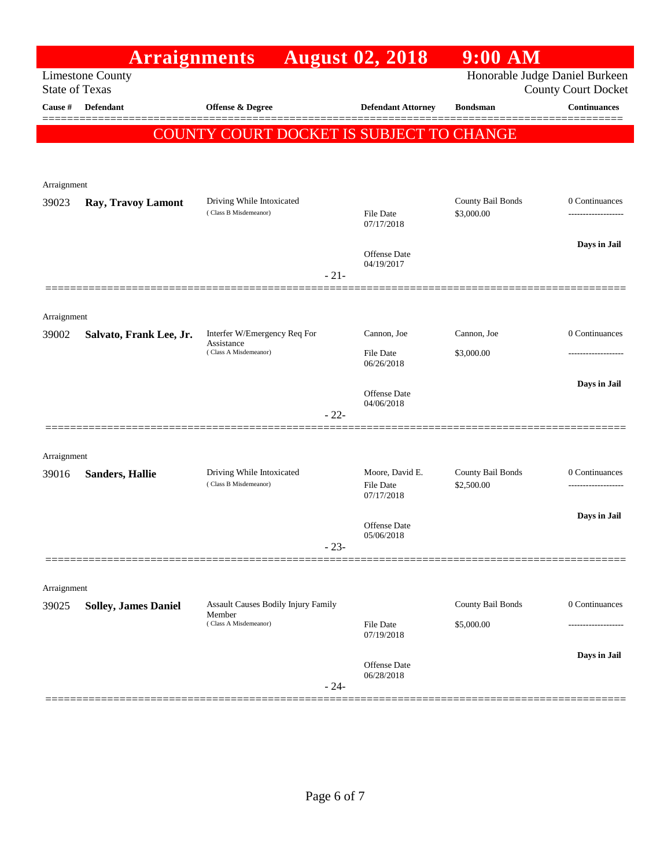|                       | <b>Arraignments</b>         |                                                                     |        | <b>August 02, 2018</b>              | $9:00$ AM                       |                                                              |
|-----------------------|-----------------------------|---------------------------------------------------------------------|--------|-------------------------------------|---------------------------------|--------------------------------------------------------------|
| <b>State of Texas</b> | <b>Limestone County</b>     |                                                                     |        |                                     |                                 | Honorable Judge Daniel Burkeen<br><b>County Court Docket</b> |
| Cause #               | <b>Defendant</b>            | <b>Offense &amp; Degree</b>                                         |        | <b>Defendant Attorney</b>           | <b>Bondsman</b>                 | <b>Continuances</b>                                          |
|                       |                             | COUNTY COURT DOCKET IS SUBJECT TO CHANGE                            |        |                                     |                                 |                                                              |
|                       |                             |                                                                     |        |                                     |                                 |                                                              |
| Arraignment           |                             |                                                                     |        |                                     |                                 |                                                              |
| 39023                 | Ray, Travoy Lamont          | Driving While Intoxicated<br>(Class B Misdemeanor)                  |        | <b>File Date</b>                    | County Bail Bonds<br>\$3,000.00 | 0 Continuances<br>-------------------                        |
|                       |                             |                                                                     |        | 07/17/2018                          |                                 |                                                              |
|                       |                             |                                                                     |        | <b>Offense Date</b>                 |                                 | Days in Jail                                                 |
|                       |                             |                                                                     | $-21-$ | 04/19/2017                          |                                 |                                                              |
|                       |                             |                                                                     |        |                                     |                                 |                                                              |
| Arraignment           |                             |                                                                     |        |                                     |                                 |                                                              |
| 39002                 | Salvato, Frank Lee, Jr.     | Interfer W/Emergency Req For<br>Assistance<br>(Class A Misdemeanor) |        | Cannon, Joe                         | Cannon, Joe                     | 0 Continuances                                               |
|                       |                             |                                                                     |        | File Date<br>06/26/2018             | \$3,000.00                      |                                                              |
|                       |                             |                                                                     |        | Offense Date                        |                                 | Days in Jail                                                 |
|                       |                             |                                                                     | $-22-$ | 04/06/2018                          |                                 |                                                              |
|                       |                             |                                                                     |        |                                     |                                 |                                                              |
| Arraignment           |                             |                                                                     |        |                                     |                                 |                                                              |
| 39016                 | <b>Sanders, Hallie</b>      | Driving While Intoxicated<br>(Class B Misdemeanor)                  |        | Moore, David E.<br><b>File Date</b> | County Bail Bonds<br>\$2,500.00 | 0 Continuances<br>-------------------                        |
|                       |                             |                                                                     |        | 07/17/2018                          |                                 |                                                              |
|                       |                             |                                                                     |        | Offense Date<br>05/06/2018          |                                 | Days in Jail                                                 |
|                       |                             |                                                                     | $-23-$ |                                     |                                 |                                                              |
|                       |                             |                                                                     |        |                                     |                                 |                                                              |
| Arraignment<br>39025  |                             | Assault Causes Bodily Injury Family                                 |        |                                     | County Bail Bonds               | 0 Continuances                                               |
|                       | <b>Solley, James Daniel</b> | Member<br>(Class A Misdemeanor)                                     |        | File Date                           | \$5,000.00                      |                                                              |
|                       |                             |                                                                     |        | 07/19/2018                          |                                 |                                                              |
|                       |                             |                                                                     |        | Offense Date                        |                                 | Days in Jail                                                 |
|                       |                             |                                                                     | $-24-$ | 06/28/2018                          |                                 |                                                              |
|                       |                             |                                                                     |        |                                     |                                 |                                                              |